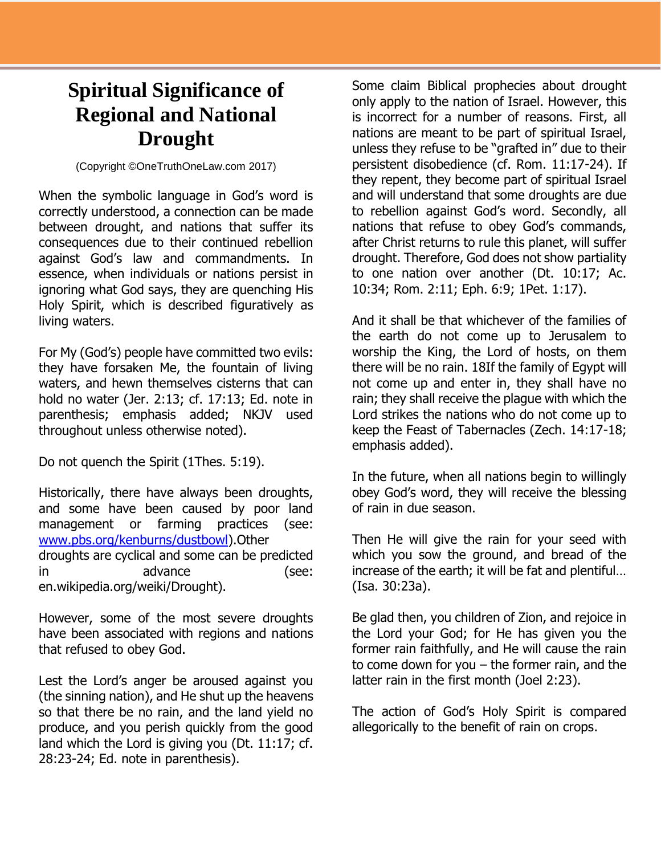## **Spiritual Significance of Regional and National Drought**

(Copyright ©OneTruthOneLaw.com 2017)

When the symbolic language in God's word is correctly understood, a connection can be made between drought, and nations that suffer its consequences due to their continued rebellion against God's law and commandments. In essence, when individuals or nations persist in ignoring what God says, they are quenching His Holy Spirit, which is described figuratively as living waters.

For My (God's) people have committed two evils: they have forsaken Me, the fountain of living waters, and hewn themselves cisterns that can hold no water (Jer. 2:13; cf. 17:13; Ed. note in parenthesis; emphasis added; NKJV used throughout unless otherwise noted).

Do not quench the Spirit (1Thes. 5:19).

Historically, there have always been droughts, and some have been caused by poor land management or farming practices (see: [www.pbs.org/kenburns/dustbowl\)](http://www.pbs.org/kenburns/dustbowl).Other droughts are cyclical and some can be predicted in advance (see: en.wikipedia.org/weiki/Drought).

However, some of the most severe droughts have been associated with regions and nations that refused to obey God.

Lest the Lord's anger be aroused against you (the sinning nation), and He shut up the heavens so that there be no rain, and the land yield no produce, and you perish quickly from the good land which the Lord is giving you (Dt. 11:17; cf. 28:23-24; Ed. note in parenthesis).

Some claim Biblical prophecies about drought only apply to the nation of Israel. However, this is incorrect for a number of reasons. First, all nations are meant to be part of spiritual Israel, unless they refuse to be "grafted in" due to their persistent disobedience (cf. Rom. 11:17-24). If they repent, they become part of spiritual Israel and will understand that some droughts are due to rebellion against God's word. Secondly, all nations that refuse to obey God's commands, after Christ returns to rule this planet, will suffer drought. Therefore, God does not show partiality to one nation over another (Dt. 10:17; Ac. 10:34; Rom. 2:11; Eph. 6:9; 1Pet. 1:17).

And it shall be that whichever of the families of the earth do not come up to Jerusalem to worship the King, the Lord of hosts, on them there will be no rain. 18If the family of Egypt will not come up and enter in, they shall have no rain; they shall receive the plague with which the Lord strikes the nations who do not come up to keep the Feast of Tabernacles (Zech. 14:17-18; emphasis added).

In the future, when all nations begin to willingly obey God's word, they will receive the blessing of rain in due season.

Then He will give the rain for your seed with which you sow the ground, and bread of the increase of the earth; it will be fat and plentiful… (Isa. 30:23a).

Be glad then, you children of Zion, and rejoice in the Lord your God; for He has given you the former rain faithfully, and He will cause the rain to come down for you – the former rain, and the latter rain in the first month (Joel 2:23).

The action of God's Holy Spirit is compared allegorically to the benefit of rain on crops.